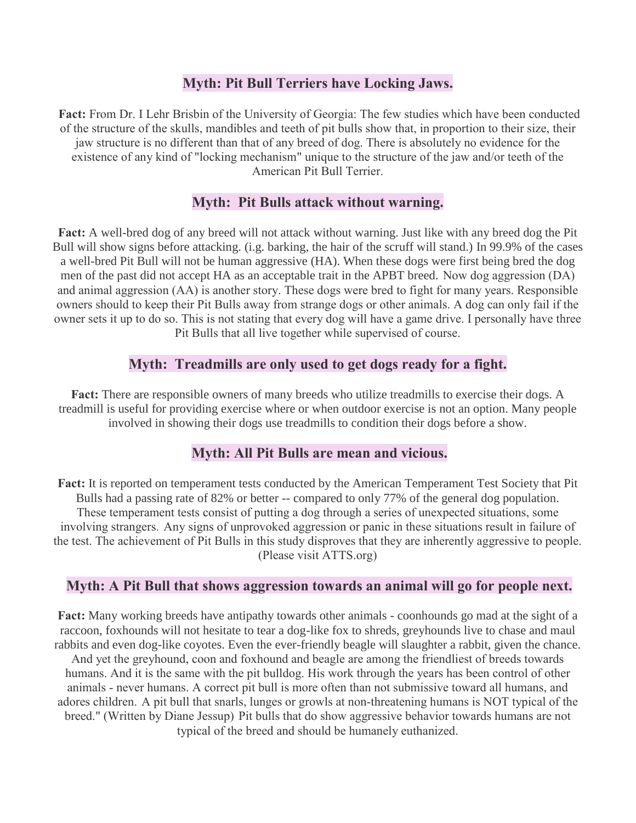### **Myth: Pit Bull Terriers have Locking Jaws.**

**Fact:** From Dr. I Lehr Brisbin of the University of Georgia: The few studies which have been conducted of the structure of the skulls, mandibles and teeth of pit bulls show that, in proportion to their size, their jaw structure is no different than that of any breed of dog. There is absolutely no evidence for the existence of any kind of "locking mechanism" unique to the structure of the jaw and/or teeth of the American Pit Bull Terrier.

### **Myth: Pit Bulls attack without warning.**

**Fact:** A well-bred dog of any breed will not attack without warning. Just like with any breed dog the Pit Bull will show signs before attacking. (i.g. barking, the hair of the scruff will stand.) In 99.9% of the cases a well-bred Pit Bull will not be human aggressive (HA). When these dogs were first being bred the dog men of the past did not accept HA as an acceptable trait in the APBT breed. Now dog aggression (DA) and animal aggression (AA) is another story. These dogs were bred to fight for many years. Responsible owners should to keep their Pit Bulls away from strange dogs or other animals. A dog can only fail if the owner sets it up to do so. This is not stating that every dog will have a game drive. I personally have three Pit Bulls that all live together while supervised of course.

### **Myth: Treadmills are only used to get dogs ready for a fight.**

**Fact:** There are responsible owners of many breeds who utilize treadmills to exercise their dogs. A treadmill is useful for providing exercise where or when outdoor exercise is not an option. Many people involved in showing their dogs use treadmills to condition their dogs before a show.

### **Myth: All Pit Bulls are mean and vicious.**

**Fact:** It is reported on temperament tests conducted by the American Temperament Test Society that Pit Bulls had a passing rate of 82% or better -- compared to only 77% of the general dog population. These temperament tests consist of putting a dog through a series of unexpected situations, some involving strangers. Any signs of unprovoked aggression or panic in these situations result in failure of the test. The achievement of Pit Bulls in this study disproves that they are inherently aggressive to people. (Please visit ATTS.org)

#### **Myth: A Pit Bull that shows aggression towards an animal will go for people next.**

**Fact:** Many working breeds have antipathy towards other animals - coonhounds go mad at the sight of a raccoon, foxhounds will not hesitate to tear a dog-like fox to shreds, greyhounds live to chase and maul rabbits and even dog-like coyotes. Even the ever-friendly beagle will slaughter a rabbit, given the chance. And yet the greyhound, coon and foxhound and beagle are among the friendliest of breeds towards humans. And it is the same with the pit bulldog. His work through the years has been control of other animals - never humans. A correct pit bull is more often than not submissive toward all humans, and adores children. A pit bull that snarls, lunges or growls at non-threatening humans is NOT typical of the breed." (Written by Diane Jessup) Pit bulls that do show aggressive behavior towards humans are not typical of the breed and should be humanely euthanized.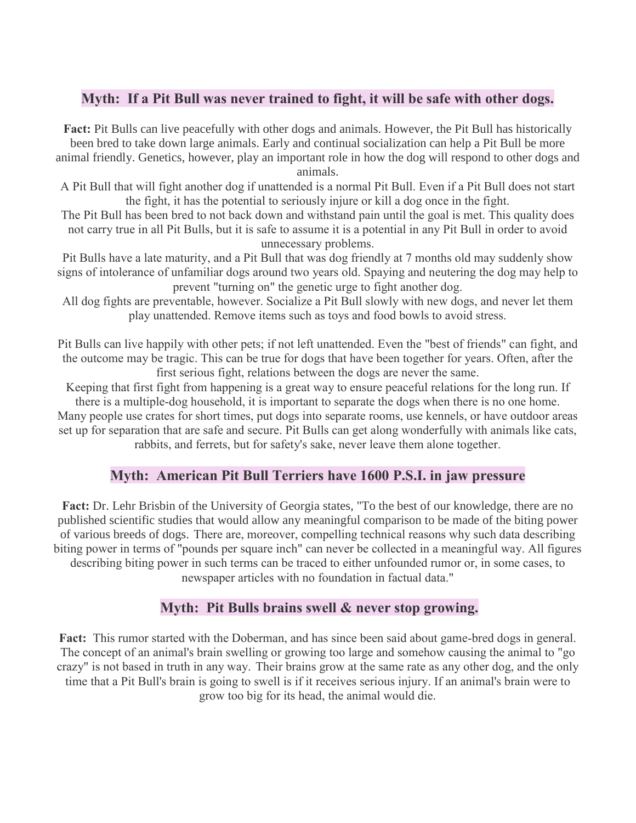# **Myth: If a Pit Bull was never trained to fight, it will be safe with other dogs.**

**Fact:** Pit Bulls can live peacefully with other dogs and animals. However, the Pit Bull has historically been bred to take down large animals. Early and continual socialization can help a Pit Bull be more animal friendly. Genetics, however, play an important role in how the dog will respond to other dogs and animals.

A Pit Bull that will fight another dog if unattended is a normal Pit Bull. Even if a Pit Bull does not start the fight, it has the potential to seriously injure or kill a dog once in the fight.

The Pit Bull has been bred to not back down and withstand pain until the goal is met. This quality does not carry true in all Pit Bulls, but it is safe to assume it is a potential in any Pit Bull in order to avoid unnecessary problems.

Pit Bulls have a late maturity, and a Pit Bull that was dog friendly at 7 months old may suddenly show signs of intolerance of unfamiliar dogs around two years old. Spaying and neutering the dog may help to prevent "turning on" the genetic urge to fight another dog.

All dog fights are preventable, however. Socialize a Pit Bull slowly with new dogs, and never let them play unattended. Remove items such as toys and food bowls to avoid stress.

Pit Bulls can live happily with other pets; if not left unattended. Even the "best of friends" can fight, and the outcome may be tragic. This can be true for dogs that have been together for years. Often, after the first serious fight, relations between the dogs are never the same.

Keeping that first fight from happening is a great way to ensure peaceful relations for the long run. If there is a multiple-dog household, it is important to separate the dogs when there is no one home.

Many people use crates for short times, put dogs into separate rooms, use kennels, or have outdoor areas set up for separation that are safe and secure. Pit Bulls can get along wonderfully with animals like cats, rabbits, and ferrets, but for safety's sake, never leave them alone together.

## **Myth: American Pit Bull Terriers have 1600 P.S.I. in jaw pressure**

**Fact:** Dr. Lehr Brisbin of the University of Georgia states, "To the best of our knowledge, there are no published scientific studies that would allow any meaningful comparison to be made of the biting power of various breeds of dogs. There are, moreover, compelling technical reasons why such data describing biting power in terms of "pounds per square inch" can never be collected in a meaningful way. All figures describing biting power in such terms can be traced to either unfounded rumor or, in some cases, to newspaper articles with no foundation in factual data."

## **Myth: Pit Bulls brains swell & never stop growing.**

**Fact:** This rumor started with the Doberman, and has since been said about game-bred dogs in general. The concept of an animal's brain swelling or growing too large and somehow causing the animal to "go crazy" is not based in truth in any way. Their brains grow at the same rate as any other dog, and the only time that a Pit Bull's brain is going to swell is if it receives serious injury. If an animal's brain were to grow too big for its head, the animal would die.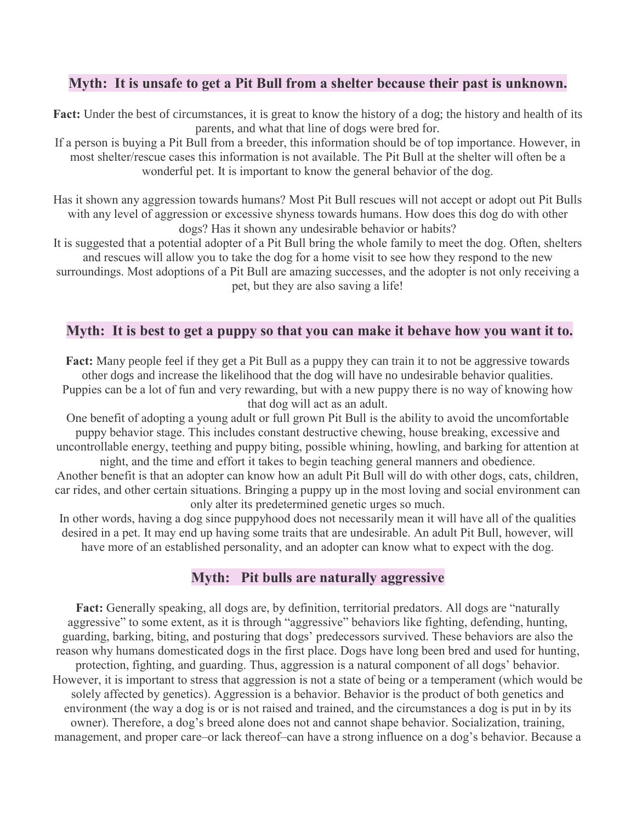### **Myth: It is unsafe to get a Pit Bull from a shelter because their past is unknown.**

**Fact:** Under the best of circumstances, it is great to know the history of a dog; the history and health of its parents, and what that line of dogs were bred for.

If a person is buying a Pit Bull from a breeder, this information should be of top importance. However, in most shelter/rescue cases this information is not available. The Pit Bull at the shelter will often be a wonderful pet. It is important to know the general behavior of the dog.

Has it shown any aggression towards humans? Most Pit Bull rescues will not accept or adopt out Pit Bulls with any level of aggression or excessive shyness towards humans. How does this dog do with other dogs? Has it shown any undesirable behavior or habits?

It is suggested that a potential adopter of a Pit Bull bring the whole family to meet the dog. Often, shelters and rescues will allow you to take the dog for a home visit to see how they respond to the new surroundings. Most adoptions of a Pit Bull are amazing successes, and the adopter is not only receiving a pet, but they are also saving a life!

### **Myth: It is best to get a puppy so that you can make it behave how you want it to.**

**Fact:** Many people feel if they get a Pit Bull as a puppy they can train it to not be aggressive towards other dogs and increase the likelihood that the dog will have no undesirable behavior qualities. Puppies can be a lot of fun and very rewarding, but with a new puppy there is no way of knowing how that dog will act as an adult.

One benefit of adopting a young adult or full grown Pit Bull is the ability to avoid the uncomfortable puppy behavior stage. This includes constant destructive chewing, house breaking, excessive and uncontrollable energy, teething and puppy biting, possible whining, howling, and barking for attention at

night, and the time and effort it takes to begin teaching general manners and obedience. Another benefit is that an adopter can know how an adult Pit Bull will do with other dogs, cats, children, car rides, and other certain situations. Bringing a puppy up in the most loving and social environment can only alter its predetermined genetic urges so much.

In other words, having a dog since puppyhood does not necessarily mean it will have all of the qualities desired in a pet. It may end up having some traits that are undesirable. An adult Pit Bull, however, will have more of an established personality, and an adopter can know what to expect with the dog.

#### **Myth: Pit bulls are naturally aggressive**

**Fact:** Generally speaking, all dogs are, by definition, territorial predators. All dogs are "naturally aggressive" to some extent, as it is through "aggressive" behaviors like fighting, defending, hunting, guarding, barking, biting, and posturing that dogs' predecessors survived. These behaviors are also the reason why humans domesticated dogs in the first place. Dogs have long been bred and used for hunting, protection, fighting, and guarding. Thus, aggression is a natural component of all dogs' behavior. However, it is important to stress that aggression is not a state of being or a temperament (which would be solely affected by genetics). Aggression is a behavior. Behavior is the product of both genetics and environment (the way a dog is or is not raised and trained, and the circumstances a dog is put in by its owner). Therefore, a dog's breed alone does not and cannot shape behavior. Socialization, training, management, and proper care–or lack thereof–can have a strong influence on a dog's behavior. Because a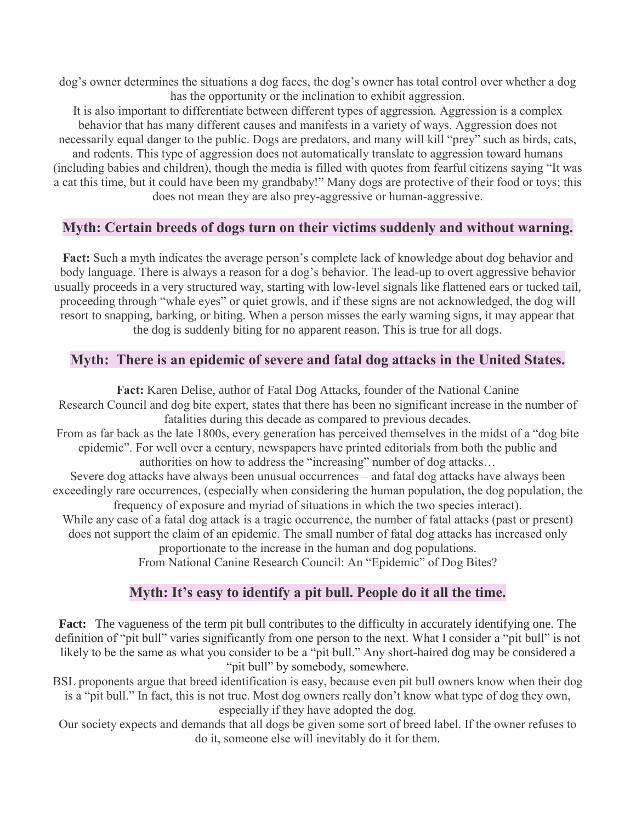dog's owner determines the situations a dog faces, the dog's owner has total control over whether a dog has the opportunity or the inclination to exhibit aggression.

It is also important to differentiate between different types of aggression. Aggression is a complex behavior that has many different causes and manifests in a variety of ways. Aggression does not necessarily equal danger to the public. Dogs are predators, and many will kill "prey" such as birds, cats,

and rodents. This type of aggression does not automatically translate to aggression toward humans (including babies and children), though the media is filled with quotes from fearful citizens saying "It was a cat this time, but it could have been my grandbaby!" Many dogs are protective of their food or toys; this does not mean they are also prey-aggressive or human-aggressive.

### **Myth: Certain breeds of dogs turn on their victims suddenly and without warning.**

**Fact:** Such a myth indicates the average person's complete lack of knowledge about dog behavior and body language. There is always a reason for a dog's behavior. The lead-up to overt aggressive behavior usually proceeds in a very structured way, starting with low-level signals like flattened ears or tucked tail, proceeding through "whale eyes" or quiet growls, and if these signs are not acknowledged, the dog will resort to snapping, barking, or biting. When a person misses the early warning signs, it may appear that the dog is suddenly biting for no apparent reason. This is true for all dogs.

# **Myth: There is an epidemic of severe and fatal dog attacks in the United States.**

**Fact:** Karen Delise, author of Fatal Dog Attacks, founder of the National Canine Research Council and dog bite expert, states that there has been no significant increase in the number of fatalities during this decade as compared to previous decades. From as far back as the late 1800s, every generation has perceived themselves in the midst of a "dog bite epidemic". For well over a century, newspapers have printed editorials from both the public and authorities on how to address the "increasing" number of dog attacks… Severe dog attacks have always been unusual occurrences – and fatal dog attacks have always been exceedingly rare occurrences, (especially when considering the human population, the dog population, the frequency of exposure and myriad of situations in which the two species interact). While any case of a fatal dog attack is a tragic occurrence, the number of fatal attacks (past or present) does not support the claim of an epidemic. The small number of fatal dog attacks has increased only proportionate to the increase in the human and dog populations. From National Canine Research Council: An "Epidemic" of Dog Bites?

## **Myth: It's easy to identify a pit bull. People do it all the time.**

**Fact:** The vagueness of the term pit bull contributes to the difficulty in accurately identifying one. The definition of "pit bull" varies significantly from one person to the next. What I consider a "pit bull" is not likely to be the same as what you consider to be a "pit bull." Any short-haired dog may be considered a "pit bull" by somebody, somewhere.

BSL proponents argue that breed identification is easy, because even pit bull owners know when their dog is a "pit bull." In fact, this is not true. Most dog owners really don't know what type of dog they own, especially if they have adopted the dog.

Our society expects and demands that all dogs be given some sort of breed label. If the owner refuses to do it, someone else will inevitably do it for them.